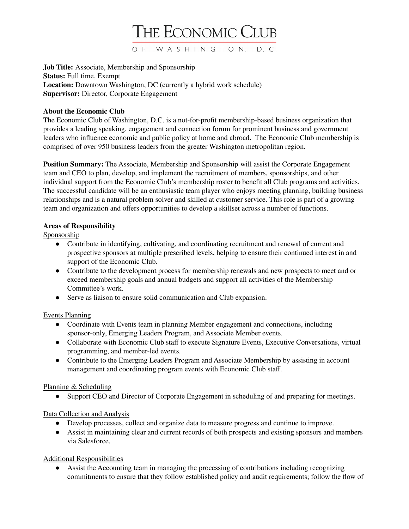

**Job Title:** Associate, Membership and Sponsorship **Status:** Full time, Exempt **Location:** Downtown Washington, DC (currently a hybrid work schedule) **Supervisor:** Director, Corporate Engagement

### **About the Economic Club**

The Economic Club of Washington, D.C. is a not-for-profit membership-based business organization that provides a leading speaking, engagement and connection forum for prominent business and government leaders who influence economic and public policy at home and abroad. The Economic Club membership is comprised of over 950 business leaders from the greater Washington metropolitan region.

**Position Summary:** The Associate, Membership and Sponsorship will assist the Corporate Engagement team and CEO to plan, develop, and implement the recruitment of members, sponsorships, and other individual support from the Economic Club's membership roster to benefit all Club programs and activities. The successful candidate will be an enthusiastic team player who enjoys meeting planning, building business relationships and is a natural problem solver and skilled at customer service. This role is part of a growing team and organization and offers opportunities to develop a skillset across a number of functions.

### **Areas of Responsibility**

Sponsorship

- Contribute in identifying, cultivating, and coordinating recruitment and renewal of current and prospective sponsors at multiple prescribed levels, helping to ensure their continued interest in and support of the Economic Club.
- Contribute to the development process for membership renewals and new prospects to meet and or exceed membership goals and annual budgets and support all activities of the Membership Committee's work.
- Serve as liaison to ensure solid communication and Club expansion.

## Events Planning

- Coordinate with Events team in planning Member engagement and connections, including sponsor-only, Emerging Leaders Program, and Associate Member events.
- Collaborate with Economic Club staff to execute Signature Events, Executive Conversations, virtual programming, and member-led events.
- Contribute to the Emerging Leaders Program and Associate Membership by assisting in account management and coordinating program events with Economic Club staff.

### Planning & Scheduling

● Support CEO and Director of Corporate Engagement in scheduling of and preparing for meetings.

## Data Collection and Analysis

- Develop processes, collect and organize data to measure progress and continue to improve.
- Assist in maintaining clear and current records of both prospects and existing sponsors and members via Salesforce.

## Additional Responsibilities

● Assist the Accounting team in managing the processing of contributions including recognizing commitments to ensure that they follow established policy and audit requirements; follow the flow of